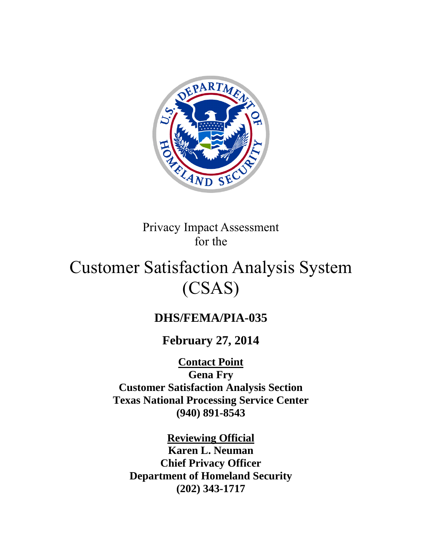

Privacy Impact Assessment for the

# Customer Satisfaction Analysis System (CSAS)

# **DHS/FEMA/PIA-035**

# **February 27, 2014**

**Contact Point**

**Gena Fry Customer Satisfaction Analysis Section Texas National Processing Service Center (940) 891-8543**

**Reviewing Official Karen L. Neuman Chief Privacy Officer Department of Homeland Security (202) 343-1717**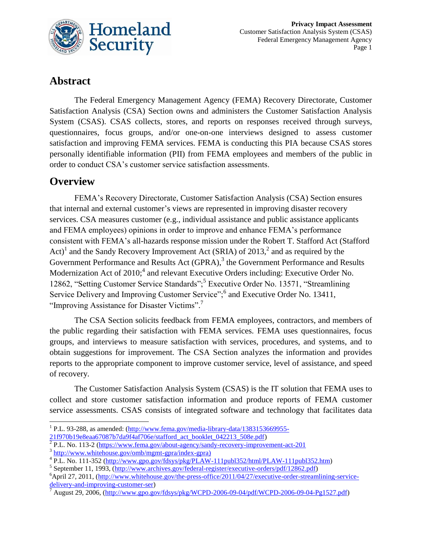

# **Abstract**

The Federal Emergency Management Agency (FEMA) Recovery Directorate, Customer Satisfaction Analysis (CSA) Section owns and administers the Customer Satisfaction Analysis System (CSAS). CSAS collects, stores, and reports on responses received through surveys, questionnaires, focus groups, and/or one-on-one interviews designed to assess customer satisfaction and improving FEMA services. FEMA is conducting this PIA because CSAS stores personally identifiable information (PII) from FEMA employees and members of the public in order to conduct CSA's customer service satisfaction assessments.

### **Overview**

FEMA's Recovery Directorate, Customer Satisfaction Analysis (CSA) Section ensures that internal and external customer's views are represented in improving disaster recovery services. CSA measures customer (e.g., individual assistance and public assistance applicants and FEMA employees) opinions in order to improve and enhance FEMA's performance consistent with FEMA's all-hazards response mission under the Robert T. Stafford Act (Stafford Act)<sup>1</sup> and the Sandy Recovery Improvement Act (SRIA) of 2013,<sup>2</sup> and as required by the Government Performance and Results Act (GPRA),<sup>3</sup> the Government Performance and Results Modernization Act of  $2010$ ;<sup>4</sup> and relevant Executive Orders including: Executive Order No. 12862, "Setting Customer Service Standards";<sup>5</sup> Executive Order No. 13571, "Streamlining Service Delivery and Improving Customer Service";<sup>6</sup> and Executive Order No. 13411, "Improving Assistance for Disaster Victims".<sup>7</sup>

The CSA Section solicits feedback from FEMA employees, contractors, and members of the public regarding their satisfaction with FEMA services. FEMA uses questionnaires, focus groups, and interviews to measure satisfaction with services, procedures, and systems, and to obtain suggestions for improvement. The CSA Section analyzes the information and provides reports to the appropriate component to improve customer service, level of assistance, and speed of recovery.

The Customer Satisfaction Analysis System (CSAS) is the IT solution that FEMA uses to collect and store customer satisfaction information and produce reports of FEMA customer service assessments. CSAS consists of integrated software and technology that facilitates data

<sup>&</sup>lt;sup>1</sup> P.L. 93-288, as amended: [\(http://www.fema.gov/media-library-data/1383153669955-](http://www.fema.gov/media-library-data/1383153669955-21f970b19e8eaa67087b7da9f4af706e/stafford_act_booklet_042213_508e.pdf)

[<sup>21</sup>f970b19e8eaa67087b7da9f4af706e/stafford\\_act\\_booklet\\_042213\\_508e.pdf\)](http://www.fema.gov/media-library-data/1383153669955-21f970b19e8eaa67087b7da9f4af706e/stafford_act_booklet_042213_508e.pdf)

<sup>&</sup>lt;sup>2</sup> P.L. No. 113-2 [\(https://www.fema.gov/about-agency/sandy-recovery-improvement-act-201](https://www.fema.gov/about-agency/sandy-recovery-improvement-act-201)

<sup>3</sup> [http://www.whitehouse.gov/omb/mgmt-gpra/index-gpra\)](http://www.whitehouse.gov/omb/mgmt-gpra/index-gpra)

<sup>&</sup>lt;sup>4</sup> P.L. No. 111-352 [\(http://www.gpo.gov/fdsys/pkg/PLAW-111publ352/html/PLAW-111publ352.htm\)](http://www.gpo.gov/fdsys/pkg/PLAW-111publ352/html/PLAW-111publ352.htm)

<sup>&</sup>lt;sup>5</sup> September 11, 1993, [\(http://www.archives.gov/federal-register/executive-orders/pdf/12862.pdf\)](http://www.archives.gov/federal-register/executive-orders/pdf/12862.pdf)

<sup>6</sup>April 27, 2011, [\(http://www.whitehouse.gov/the-press-office/2011/04/27/executive-order-streamlining-service](http://www.whitehouse.gov/the-press-office/2011/04/27/executive-order-streamlining-service-delivery-and-improving-customer-ser)[delivery-and-improving-customer-ser\)](http://www.whitehouse.gov/the-press-office/2011/04/27/executive-order-streamlining-service-delivery-and-improving-customer-ser)

<sup>7</sup> August 29, 2006, [\(http://www.gpo.gov/fdsys/pkg/WCPD-2006-09-04/pdf/WCPD-2006-09-04-Pg1527.pdf\)](http://www.gpo.gov/fdsys/pkg/WCPD-2006-09-04/pdf/WCPD-2006-09-04-Pg1527.pdf)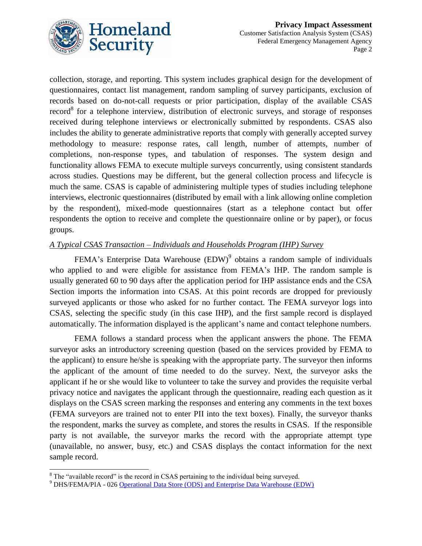

collection, storage, and reporting. This system includes graphical design for the development of questionnaires, contact list management, random sampling of survey participants, exclusion of records based on do-not-call requests or prior participation, display of the available CSAS  $record<sup>8</sup>$  for a telephone interview, distribution of electronic surveys, and storage of responses received during telephone interviews or electronically submitted by respondents. CSAS also includes the ability to generate administrative reports that comply with generally accepted survey methodology to measure: response rates, call length, number of attempts, number of completions, non-response types, and tabulation of responses. The system design and functionality allows FEMA to execute multiple surveys concurrently, using consistent standards across studies. Questions may be different, but the general collection process and lifecycle is much the same. CSAS is capable of administering multiple types of studies including telephone interviews, electronic questionnaires (distributed by email with a link allowing online completion by the respondent), mixed-mode questionnaires (start as a telephone contact but offer respondents the option to receive and complete the questionnaire online or by paper), or focus groups.

#### *A Typical CSAS Transaction – Individuals and Households Program (IHP) Survey*

FEMA's Enterprise Data Warehouse  $(EDW)^9$  obtains a random sample of individuals who applied to and were eligible for assistance from FEMA's IHP. The random sample is usually generated 60 to 90 days after the application period for IHP assistance ends and the CSA Section imports the information into CSAS. At this point records are dropped for previously surveyed applicants or those who asked for no further contact. The FEMA surveyor logs into CSAS, selecting the specific study (in this case IHP), and the first sample record is displayed automatically. The information displayed is the applicant's name and contact telephone numbers.

FEMA follows a standard process when the applicant answers the phone. The FEMA surveyor asks an introductory screening question (based on the services provided by FEMA to the applicant) to ensure he/she is speaking with the appropriate party. The surveyor then informs the applicant of the amount of time needed to do the survey. Next, the surveyor asks the applicant if he or she would like to volunteer to take the survey and provides the requisite verbal privacy notice and navigates the applicant through the questionnaire, reading each question as it displays on the CSAS screen marking the responses and entering any comments in the text boxes (FEMA surveyors are trained not to enter PII into the text boxes). Finally, the surveyor thanks the respondent, marks the survey as complete, and stores the results in CSAS. If the responsible party is not available, the surveyor marks the record with the appropriate attempt type (unavailable, no answer, busy, etc.) and CSAS displays the contact information for the next sample record.

l  $8$  The "available record" is the record in CSAS pertaining to the individual being surveyed.

<sup>9</sup> DHS/FEMA/PIA - 026 [Operational Data Store \(ODS\) and Enterprise Data Warehouse \(EDW\)](http://www.dhs.gov/xlibrary/assets/privacy/privacy_pia_fema_ods_edw_20120629.pdf)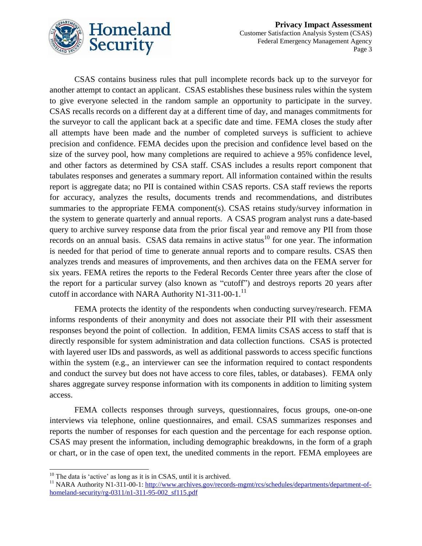

CSAS contains business rules that pull incomplete records back up to the surveyor for another attempt to contact an applicant. CSAS establishes these business rules within the system to give everyone selected in the random sample an opportunity to participate in the survey. CSAS recalls records on a different day at a different time of day, and manages commitments for the surveyor to call the applicant back at a specific date and time. FEMA closes the study after all attempts have been made and the number of completed surveys is sufficient to achieve precision and confidence. FEMA decides upon the precision and confidence level based on the size of the survey pool, how many completions are required to achieve a 95% confidence level, and other factors as determined by CSA staff. CSAS includes a results report component that tabulates responses and generates a summary report. All information contained within the results report is aggregate data; no PII is contained within CSAS reports. CSA staff reviews the reports for accuracy, analyzes the results, documents trends and recommendations, and distributes summaries to the appropriate FEMA component(s). CSAS retains study/survey information in the system to generate quarterly and annual reports. A CSAS program analyst runs a date-based query to archive survey response data from the prior fiscal year and remove any PII from those records on an annual basis. CSAS data remains in active status $10$  for one year. The information is needed for that period of time to generate annual reports and to compare results. CSAS then analyzes trends and measures of improvements, and then archives data on the FEMA server for six years. FEMA retires the reports to the Federal Records Center three years after the close of the report for a particular survey (also known as "cutoff") and destroys reports 20 years after cutoff in accordance with NARA Authority N1-311-00-1. $^{11}$ 

FEMA protects the identity of the respondents when conducting survey/research. FEMA informs respondents of their anonymity and does not associate their PII with their assessment responses beyond the point of collection. In addition, FEMA limits CSAS access to staff that is directly responsible for system administration and data collection functions. CSAS is protected with layered user IDs and passwords, as well as additional passwords to access specific functions within the system (e.g., an interviewer can see the information required to contact respondents and conduct the survey but does not have access to core files, tables, or databases). FEMA only shares aggregate survey response information with its components in addition to limiting system access.

FEMA collects responses through surveys, questionnaires, focus groups, one-on-one interviews via telephone, online questionnaires, and email. CSAS summarizes responses and reports the number of responses for each question and the percentage for each response option. CSAS may present the information, including demographic breakdowns, in the form of a graph or chart, or in the case of open text, the unedited comments in the report. FEMA employees are

l  $10$  The data is 'active' as long as it is in CSAS, until it is archived.

<sup>&</sup>lt;sup>11</sup> NARA Authority N1-311-00-1[: http://www.archives.gov/records-mgmt/rcs/schedules/departments/department-of](http://www.archives.gov/records-mgmt/rcs/schedules/departments/department-of-homeland-security/rg-0311/n1-311-95-002_sf115.pdf)homeland-security/rg-0311/n1-311-95-002 sf115.pdf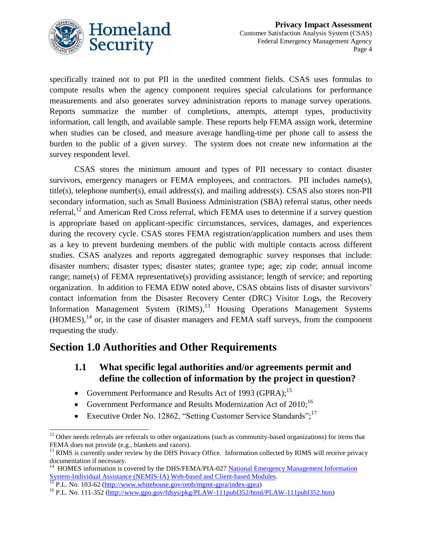

specifically trained not to put PII in the unedited comment fields. CSAS uses formulas to compute results when the agency component requires special calculations for performance measurements and also generates survey administration reports to manage survey operations. Reports summarize the number of completions, attempts, attempt types, productivity information, call length, and available sample. These reports help FEMA assign work, determine when studies can be closed, and measure average handling-time per phone call to assess the burden to the public of a given survey. The system does not create new information at the survey respondent level.

CSAS stores the minimum amount and types of PII necessary to contact disaster survivors, emergency managers or FEMA employees, and contractors. PII includes name(s), title(s), telephone number(s), email address(s), and mailing address(s). CSAS also stores non-PII secondary information, such as Small Business Administration (SBA) referral status, other needs referral,  $12$  and American Red Cross referral, which FEMA uses to determine if a survey question is appropriate based on applicant-specific circumstances, services, damages, and experiences during the recovery cycle. CSAS stores FEMA registration/application numbers and uses them as a key to prevent burdening members of the public with multiple contacts across different studies. CSAS analyzes and reports aggregated demographic survey responses that include: disaster numbers; disaster types; disaster states; grantee type; age; zip code; annual income range; name(s) of FEMA representative(s) providing assistance; length of service; and reporting organization. In addition to FEMA EDW noted above, CSAS obtains lists of disaster survivors' contact information from the Disaster Recovery Center (DRC) Visitor Logs, the Recovery Information Management System (RIMS),<sup>13</sup> Housing Operations Management Systems  $(HOMES),<sup>14</sup>$  or, in the case of disaster managers and FEMA staff surveys, from the component requesting the study.

### **Section 1.0 Authorities and Other Requirements**

- **1.1 What specific legal authorities and/or agreements permit and define the collection of information by the project in question?**
- Government Performance and Results Act of 1993 (GPRA);<sup>15</sup>
- Government Performance and Results Modernization Act of  $2010$ ;<sup>16</sup>
- Executive Order No. 12862, "Setting Customer Service Standards";<sup>17</sup>

 $\overline{a}$ 

 $12$  Other needs referrals are referrals to other organizations (such as community-based organizations) for items that FEMA does not provide (e.g., blankets and razors).

 $<sup>13</sup>$  RIMS is currently under review by the DHS Privacy Office. Information collected by RIMS will receive privacy</sup> documentation if necessary.

<sup>&</sup>lt;sup>14</sup> HOMES information is covered by the DHS/FEMA/PIA-027 National Emergency Management Information [System-Individual Assistance \(NEMIS-IA\) Web-based and Client-based Modules.](http://www.dhs.gov/xlibrary/assets/privacy/privacy_pia_fema_nemis_ia_20120629.pdf)

 $^{15}$  P.L. No. 103-62 [\(http://www.whitehouse.gov/omb/mgmt-gpra/index-gpra\)](http://www.whitehouse.gov/omb/mgmt-gpra/index-gpra)

<sup>&</sup>lt;sup>16</sup> P.L. No. 111-352 [\(http://www.gpo.gov/fdsys/pkg/PLAW-111publ352/html/PLAW-111publ352.htm\)](http://www.gpo.gov/fdsys/pkg/PLAW-111publ352/html/PLAW-111publ352.htm)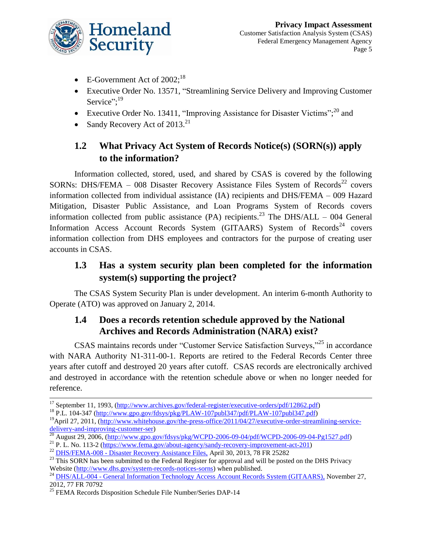

- E-Government Act of  $2002$ ;<sup>18</sup>
- Executive Order No. 13571, "Streamlining Service Delivery and Improving Customer Service";<sup>19</sup>
- Executive Order No. 13411, "Improving Assistance for Disaster Victims";<sup>20</sup> and
- Sandy Recovery Act of 2013.<sup>21</sup>

### **1.2 What Privacy Act System of Records Notice(s) (SORN(s)) apply to the information?**

Information collected, stored, used, and shared by CSAS is covered by the following SORNs: DHS/FEMA – 008 Disaster Recovery Assistance Files System of Records<sup>22</sup> covers information collected from individual assistance (IA) recipients and DHS/FEMA – 009 Hazard Mitigation, Disaster Public Assistance, and Loan Programs System of Records covers information collected from public assistance (PA) recipients.<sup>23</sup> The DHS/ALL – 004 General Information Access Account Records System (GITAARS) System of Records<sup>24</sup> covers information collection from DHS employees and contractors for the purpose of creating user accounts in CSAS.

### **1.3 Has a system security plan been completed for the information system(s) supporting the project?**

The CSAS System Security Plan is under development. An interim 6-month Authority to Operate (ATO) was approved on January 2, 2014.

#### **1.4 Does a records retention schedule approved by the National Archives and Records Administration (NARA) exist?**

CSAS maintains records under "Customer Service Satisfaction Surveys,"<sup>25</sup> in accordance with NARA Authority N1-311-00-1. Reports are retired to the Federal Records Center three years after cutoff and destroyed 20 years after cutoff. CSAS records are electronically archived and destroyed in accordance with the retention schedule above or when no longer needed for reference.

 $\overline{a}$ <sup>17</sup> September 11, 1993, [\(http://www.archives.gov/federal-register/executive-orders/pdf/12862.pdf\)](http://www.archives.gov/federal-register/executive-orders/pdf/12862.pdf)

<sup>18</sup> P.L. 104-347 [\(http://www.gpo.gov/fdsys/pkg/PLAW-107publ347/pdf/PLAW-107publ347.pdf\)](http://www.gpo.gov/fdsys/pkg/PLAW-107publ347/pdf/PLAW-107publ347.pdf)

<sup>&</sup>lt;sup>19</sup>April 27, 2011, [\(http://www.whitehouse.gov/the-press-office/2011/04/27/executive-order-streamlining-service](http://www.whitehouse.gov/the-press-office/2011/04/27/executive-order-streamlining-service-delivery-and-improving-customer-ser)[delivery-and-improving-customer-ser\)](http://www.whitehouse.gov/the-press-office/2011/04/27/executive-order-streamlining-service-delivery-and-improving-customer-ser)

<sup>&</sup>lt;sup>20</sup> August 29, 2006, [\(http://www.gpo.gov/fdsys/pkg/WCPD-2006-09-04/pdf/WCPD-2006-09-04-Pg1527.pdf\)](http://www.gpo.gov/fdsys/pkg/WCPD-2006-09-04/pdf/WCPD-2006-09-04-Pg1527.pdf)

<sup>&</sup>lt;sup>21</sup> P. L. No. 113-2 [\(https://www.fema.gov/about-agency/sandy-recovery-improvement-act-201\)](https://www.fema.gov/about-agency/sandy-recovery-improvement-act-201)

<sup>&</sup>lt;sup>22</sup> DHS/FEMA-008 - [Disaster Recovery Assistance Files,](http://www.gpo.gov/fdsys/pkg/FR-2013-04-30/html/2013-10173.htm) April 30, 2013, 78 FR 25282

<sup>&</sup>lt;sup>23</sup> This SORN has been submitted to the Federal Register for approval and will be posted on the DHS Privacy Website [\(http://www.dhs.gov/system-records-notices-sorns\)](http://www.dhs.gov/system-records-notices-sorns) when published.

<sup>&</sup>lt;sup>24</sup> DHS/ALL-004 - [General Information Technology Access Account Records System \(GITAARS\),](http://www.gpo.gov/fdsys/pkg/FR-2012-11-27/html/2012-28675.htm) November 27, 2012, 77 FR 70792

<sup>&</sup>lt;sup>25</sup> FEMA Records Disposition Schedule File Number/Series DAP-14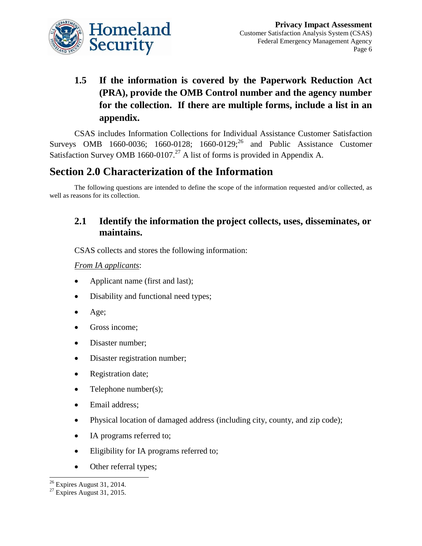

# **1.5 If the information is covered by the Paperwork Reduction Act (PRA), provide the OMB Control number and the agency number for the collection. If there are multiple forms, include a list in an appendix.**

CSAS includes Information Collections for Individual Assistance Customer Satisfaction Surveys OMB 1660-0036; 1660-0128; 1660-0129;<sup>26</sup> and Public Assistance Customer Satisfaction Survey OMB 1660-0107.<sup>27</sup> A list of forms is provided in Appendix A.

# **Section 2.0 Characterization of the Information**

The following questions are intended to define the scope of the information requested and/or collected, as well as reasons for its collection.

### **2.1 Identify the information the project collects, uses, disseminates, or maintains.**

CSAS collects and stores the following information:

#### *From IA applicants*:

- Applicant name (first and last);
- Disability and functional need types;
- $Age$ :
- Gross income;
- Disaster number;
- Disaster registration number;
- Registration date;
- Telephone number(s);
- Email address;
- Physical location of damaged address (including city, county, and zip code);
- IA programs referred to;
- Eligibility for IA programs referred to;
- Other referral types;

 $\overline{a}$  $26$  Expires August 31, 2014.

 $27$  Expires August 31, 2015.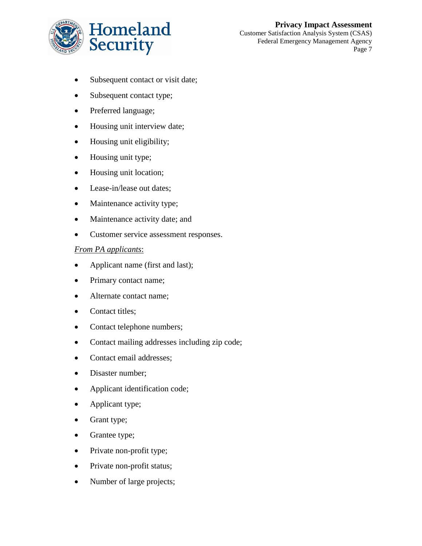

**Privacy Impact Assessment** Customer Satisfaction Analysis System (CSAS) Federal Emergency Management Agency Page 7

- Subsequent contact or visit date;
- Subsequent contact type;
- Preferred language;
- Housing unit interview date;
- Housing unit eligibility;
- Housing unit type;
- Housing unit location;
- Lease-in/lease out dates;
- Maintenance activity type;
- Maintenance activity date; and
- Customer service assessment responses.

#### *From PA applicants*:

- Applicant name (first and last);
- Primary contact name;
- Alternate contact name;
- Contact titles;
- Contact telephone numbers;
- Contact mailing addresses including zip code;
- Contact email addresses;
- Disaster number:
- Applicant identification code;
- Applicant type;
- Grant type;
- Grantee type;
- Private non-profit type;
- Private non-profit status;
- Number of large projects;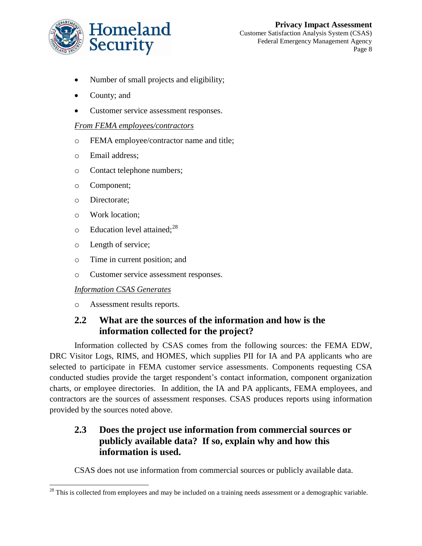

- Number of small projects and eligibility;
- County; and
- Customer service assessment responses.

#### *From FEMA employees/contractors*

- o FEMA employee/contractor name and title;
- o Email address;
- o Contact telephone numbers;
- o Component;
- o Directorate;

l

- o Work location;
- $\circ$  Education level attained;<sup>28</sup>
- o Length of service;
- o Time in current position; and
- o Customer service assessment responses.

#### *Information CSAS Generates*

o Assessment results reports.

### **2.2 What are the sources of the information and how is the information collected for the project?**

Information collected by CSAS comes from the following sources: the FEMA EDW, DRC Visitor Logs, RIMS, and HOMES, which supplies PII for IA and PA applicants who are selected to participate in FEMA customer service assessments. Components requesting CSA conducted studies provide the target respondent's contact information, component organization charts, or employee directories. In addition, the IA and PA applicants, FEMA employees, and contractors are the sources of assessment responses. CSAS produces reports using information provided by the sources noted above.

#### **2.3 Does the project use information from commercial sources or publicly available data? If so, explain why and how this information is used.**

CSAS does not use information from commercial sources or publicly available data.

 $^{28}$  This is collected from employees and may be included on a training needs assessment or a demographic variable.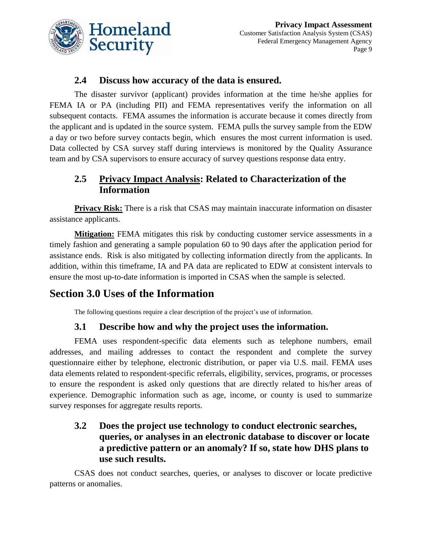

#### **2.4 Discuss how accuracy of the data is ensured.**

The disaster survivor (applicant) provides information at the time he/she applies for FEMA IA or PA (including PII) and FEMA representatives verify the information on all subsequent contacts. FEMA assumes the information is accurate because it comes directly from the applicant and is updated in the source system. FEMA pulls the survey sample from the EDW a day or two before survey contacts begin, which ensures the most current information is used. Data collected by CSA survey staff during interviews is monitored by the Quality Assurance team and by CSA supervisors to ensure accuracy of survey questions response data entry.

### **2.5 Privacy Impact Analysis: Related to Characterization of the Information**

**Privacy Risk:** There is a risk that CSAS may maintain inaccurate information on disaster assistance applicants.

**Mitigation:** FEMA mitigates this risk by conducting customer service assessments in a timely fashion and generating a sample population 60 to 90 days after the application period for assistance ends. Risk is also mitigated by collecting information directly from the applicants. In addition, within this timeframe, IA and PA data are replicated to EDW at consistent intervals to ensure the most up-to-date information is imported in CSAS when the sample is selected.

# **Section 3.0 Uses of the Information**

The following questions require a clear description of the project's use of information.

#### **3.1 Describe how and why the project uses the information.**

FEMA uses respondent-specific data elements such as telephone numbers, email addresses, and mailing addresses to contact the respondent and complete the survey questionnaire either by telephone, electronic distribution, or paper via U.S. mail. FEMA uses data elements related to respondent-specific referrals, eligibility, services, programs, or processes to ensure the respondent is asked only questions that are directly related to his/her areas of experience. Demographic information such as age, income, or county is used to summarize survey responses for aggregate results reports.

#### **3.2 Does the project use technology to conduct electronic searches, queries, or analyses in an electronic database to discover or locate a predictive pattern or an anomaly? If so, state how DHS plans to use such results.**

CSAS does not conduct searches, queries, or analyses to discover or locate predictive patterns or anomalies.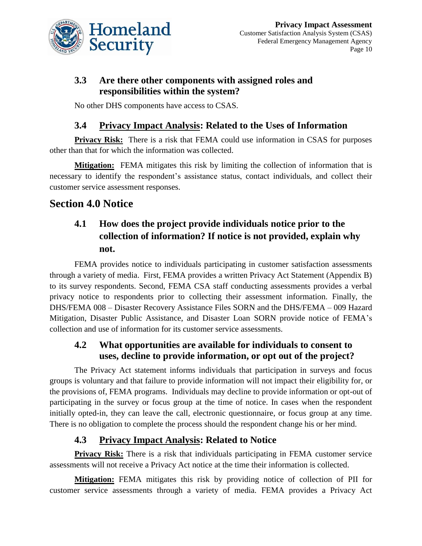

### **3.3 Are there other components with assigned roles and responsibilities within the system?**

No other DHS components have access to CSAS.

#### **3.4 Privacy Impact Analysis: Related to the Uses of Information**

**Privacy Risk:** There is a risk that FEMA could use information in CSAS for purposes other than that for which the information was collected.

**Mitigation:** FEMA mitigates this risk by limiting the collection of information that is necessary to identify the respondent's assistance status, contact individuals, and collect their customer service assessment responses.

# **Section 4.0 Notice**

### **4.1 How does the project provide individuals notice prior to the collection of information? If notice is not provided, explain why not.**

FEMA provides notice to individuals participating in customer satisfaction assessments through a variety of media. First, FEMA provides a written Privacy Act Statement (Appendix B) to its survey respondents. Second, FEMA CSA staff conducting assessments provides a verbal privacy notice to respondents prior to collecting their assessment information. Finally, the DHS/FEMA 008 – Disaster Recovery Assistance Files SORN and the DHS/FEMA – 009 Hazard Mitigation, Disaster Public Assistance, and Disaster Loan SORN provide notice of FEMA's collection and use of information for its customer service assessments.

#### **4.2 What opportunities are available for individuals to consent to uses, decline to provide information, or opt out of the project?**

The Privacy Act statement informs individuals that participation in surveys and focus groups is voluntary and that failure to provide information will not impact their eligibility for, or the provisions of, FEMA programs. Individuals may decline to provide information or opt-out of participating in the survey or focus group at the time of notice. In cases when the respondent initially opted-in, they can leave the call, electronic questionnaire, or focus group at any time. There is no obligation to complete the process should the respondent change his or her mind.

#### **4.3 Privacy Impact Analysis: Related to Notice**

**Privacy Risk:** There is a risk that individuals participating in FEMA customer service assessments will not receive a Privacy Act notice at the time their information is collected.

**Mitigation:** FEMA mitigates this risk by providing notice of collection of PII for customer service assessments through a variety of media. FEMA provides a Privacy Act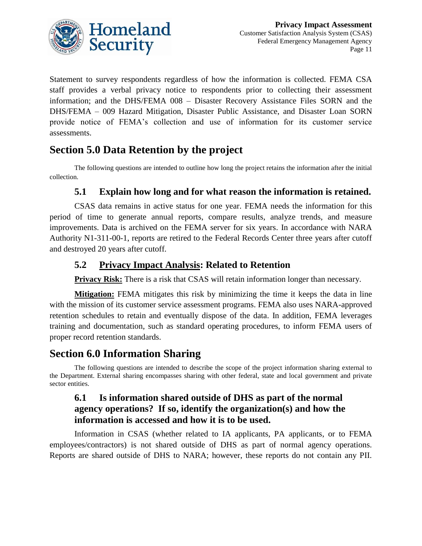

Statement to survey respondents regardless of how the information is collected. FEMA CSA staff provides a verbal privacy notice to respondents prior to collecting their assessment information; and the DHS/FEMA 008 – Disaster Recovery Assistance Files SORN and the DHS/FEMA – 009 Hazard Mitigation, Disaster Public Assistance, and Disaster Loan SORN provide notice of FEMA's collection and use of information for its customer service assessments.

# **Section 5.0 Data Retention by the project**

The following questions are intended to outline how long the project retains the information after the initial collection.

#### **5.1 Explain how long and for what reason the information is retained.**

CSAS data remains in active status for one year. FEMA needs the information for this period of time to generate annual reports, compare results, analyze trends, and measure improvements. Data is archived on the FEMA server for six years. In accordance with NARA Authority N1-311-00-1, reports are retired to the Federal Records Center three years after cutoff and destroyed 20 years after cutoff.

#### **5.2 Privacy Impact Analysis: Related to Retention**

**Privacy Risk:** There is a risk that CSAS will retain information longer than necessary.

**Mitigation:** FEMA mitigates this risk by minimizing the time it keeps the data in line with the mission of its customer service assessment programs. FEMA also uses NARA-approved retention schedules to retain and eventually dispose of the data. In addition, FEMA leverages training and documentation, such as standard operating procedures, to inform FEMA users of proper record retention standards.

### **Section 6.0 Information Sharing**

The following questions are intended to describe the scope of the project information sharing external to the Department. External sharing encompasses sharing with other federal, state and local government and private sector entities.

#### **6.1 Is information shared outside of DHS as part of the normal agency operations? If so, identify the organization(s) and how the information is accessed and how it is to be used.**

Information in CSAS (whether related to IA applicants, PA applicants, or to FEMA employees/contractors) is not shared outside of DHS as part of normal agency operations. Reports are shared outside of DHS to NARA; however, these reports do not contain any PII.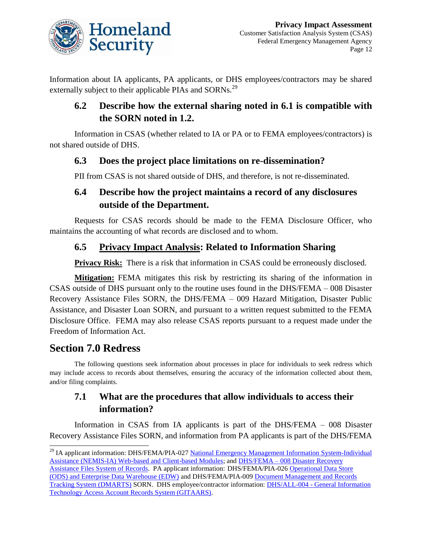

Information about IA applicants, PA applicants, or DHS employees/contractors may be shared externally subject to their applicable PIAs and SORNs.<sup>29</sup>

### **6.2 Describe how the external sharing noted in 6.1 is compatible with the SORN noted in 1.2.**

Information in CSAS (whether related to IA or PA or to FEMA employees/contractors) is not shared outside of DHS.

### **6.3 Does the project place limitations on re-dissemination?**

PII from CSAS is not shared outside of DHS, and therefore, is not re-disseminated.

### **6.4 Describe how the project maintains a record of any disclosures outside of the Department.**

Requests for CSAS records should be made to the FEMA Disclosure Officer, who maintains the accounting of what records are disclosed and to whom.

### **6.5 Privacy Impact Analysis: Related to Information Sharing**

**Privacy Risk:** There is a risk that information in CSAS could be erroneously disclosed.

**Mitigation:** FEMA mitigates this risk by restricting its sharing of the information in CSAS outside of DHS pursuant only to the routine uses found in the DHS/FEMA – 008 Disaster Recovery Assistance Files SORN, the DHS/FEMA – 009 Hazard Mitigation, Disaster Public Assistance, and Disaster Loan SORN, and pursuant to a written request submitted to the FEMA Disclosure Office. FEMA may also release CSAS reports pursuant to a request made under the Freedom of Information Act.

# **Section 7.0 Redress**

 $\overline{a}$ 

The following questions seek information about processes in place for individuals to seek redress which may include access to records about themselves, ensuring the accuracy of the information collected about them, and/or filing complaints.

### **7.1 What are the procedures that allow individuals to access their information?**

Information in CSAS from IA applicants is part of the DHS/FEMA – 008 Disaster Recovery Assistance Files SORN, and information from PA applicants is part of the DHS/FEMA

<sup>&</sup>lt;sup>29</sup> IA applicant information: DHS/FEMA/PIA-027 National Emergency Management Information System-Individual [Assistance \(NEMIS-IA\) Web-based and Client-based Modules;](http://www.dhs.gov/xlibrary/assets/privacy/privacy_pia_fema_nemis_ia_20120629.pdf) and DHS/FEMA – [008 Disaster Recovery](http://www.gpo.gov/fdsys/pkg/FR-2009-09-24/html/E9-23015.htm)  [Assistance Files System of Records.](http://www.gpo.gov/fdsys/pkg/FR-2009-09-24/html/E9-23015.htm) PA applicant information: DHS/FEMA/PIA-026 [Operational Data Store](http://www.dhs.gov/xlibrary/assets/privacy/privacy_pia_fema_ods_edw_20120629.pdf)  [\(ODS\) and Enterprise Data Warehouse \(EDW\)](http://www.dhs.gov/xlibrary/assets/privacy/privacy_pia_fema_ods_edw_20120629.pdf) and DHS/FEMA/PIA-00[9 Document Management and Records](http://www.dhs.gov/xlibrary/assets/privacy/privacy_pia_fema_dmarts.pdf)  [Tracking System \(DMARTS\)](http://www.dhs.gov/xlibrary/assets/privacy/privacy_pia_fema_dmarts.pdf) SORN. DHS employee/contractor information: DHS/ALL-004 - [General Information](http://edocket.access.gpo.gov/2009/E9-23513.htm)  [Technology Access Account Records System \(GITAARS\).](http://edocket.access.gpo.gov/2009/E9-23513.htm)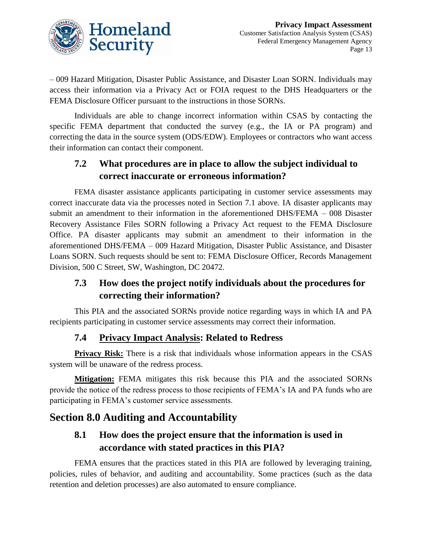

– 009 Hazard Mitigation, Disaster Public Assistance, and Disaster Loan SORN. Individuals may access their information via a Privacy Act or FOIA request to the DHS Headquarters or the FEMA Disclosure Officer pursuant to the instructions in those SORNs.

Individuals are able to change incorrect information within CSAS by contacting the specific FEMA department that conducted the survey (e.g., the IA or PA program) and correcting the data in the source system (ODS/EDW). Employees or contractors who want access their information can contact their component.

### **7.2 What procedures are in place to allow the subject individual to correct inaccurate or erroneous information?**

FEMA disaster assistance applicants participating in customer service assessments may correct inaccurate data via the processes noted in Section 7.1 above. IA disaster applicants may submit an amendment to their information in the aforementioned DHS/FEMA – 008 Disaster Recovery Assistance Files SORN following a Privacy Act request to the FEMA Disclosure Office. PA disaster applicants may submit an amendment to their information in the aforementioned DHS/FEMA – 009 Hazard Mitigation, Disaster Public Assistance, and Disaster Loans SORN. Such requests should be sent to: FEMA Disclosure Officer, Records Management Division, 500 C Street, SW, Washington, DC 20472.

### **7.3 How does the project notify individuals about the procedures for correcting their information?**

This PIA and the associated SORNs provide notice regarding ways in which IA and PA recipients participating in customer service assessments may correct their information.

### **7.4 Privacy Impact Analysis: Related to Redress**

**Privacy Risk:** There is a risk that individuals whose information appears in the CSAS system will be unaware of the redress process.

**Mitigation:** FEMA mitigates this risk because this PIA and the associated SORNs provide the notice of the redress process to those recipients of FEMA's IA and PA funds who are participating in FEMA's customer service assessments.

# **Section 8.0 Auditing and Accountability**

### **8.1 How does the project ensure that the information is used in accordance with stated practices in this PIA?**

FEMA ensures that the practices stated in this PIA are followed by leveraging training, policies, rules of behavior, and auditing and accountability. Some practices (such as the data retention and deletion processes) are also automated to ensure compliance.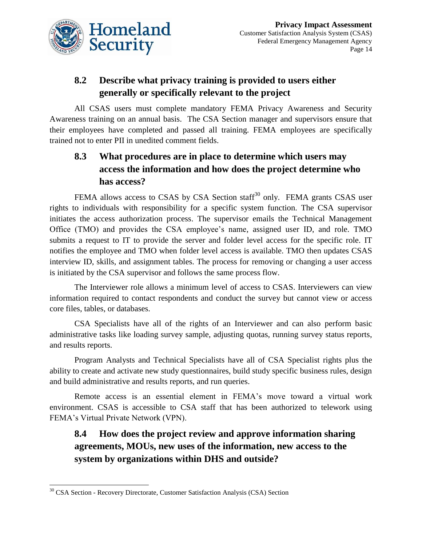

### **8.2 Describe what privacy training is provided to users either generally or specifically relevant to the project**

All CSAS users must complete mandatory FEMA Privacy Awareness and Security Awareness training on an annual basis. The CSA Section manager and supervisors ensure that their employees have completed and passed all training. FEMA employees are specifically trained not to enter PII in unedited comment fields.

### **8.3 What procedures are in place to determine which users may access the information and how does the project determine who has access?**

FEMA allows access to CSAS by CSA Section staff<sup>30</sup> only. FEMA grants CSAS user rights to individuals with responsibility for a specific system function. The CSA supervisor initiates the access authorization process. The supervisor emails the Technical Management Office (TMO) and provides the CSA employee's name, assigned user ID, and role. TMO submits a request to IT to provide the server and folder level access for the specific role. IT notifies the employee and TMO when folder level access is available. TMO then updates CSAS interview ID, skills, and assignment tables. The process for removing or changing a user access is initiated by the CSA supervisor and follows the same process flow.

The Interviewer role allows a minimum level of access to CSAS. Interviewers can view information required to contact respondents and conduct the survey but cannot view or access core files, tables, or databases.

CSA Specialists have all of the rights of an Interviewer and can also perform basic administrative tasks like loading survey sample, adjusting quotas, running survey status reports, and results reports.

Program Analysts and Technical Specialists have all of CSA Specialist rights plus the ability to create and activate new study questionnaires, build study specific business rules, design and build administrative and results reports, and run queries.

Remote access is an essential element in FEMA's move toward a virtual work environment. CSAS is accessible to CSA staff that has been authorized to telework using FEMA's Virtual Private Network (VPN).

### **8.4 How does the project review and approve information sharing agreements, MOUs, new uses of the information, new access to the system by organizations within DHS and outside?**

l

<sup>&</sup>lt;sup>30</sup> CSA Section - Recovery Directorate, Customer Satisfaction Analysis (CSA) Section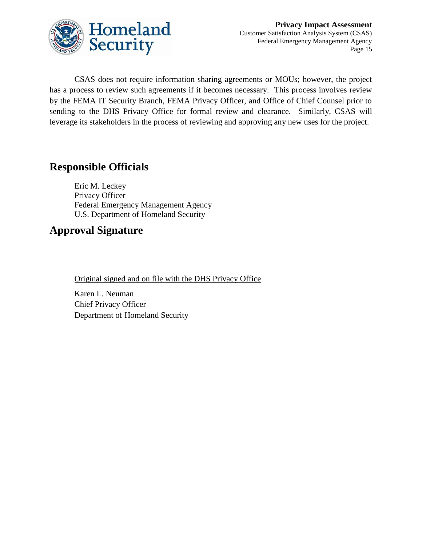

CSAS does not require information sharing agreements or MOUs; however, the project has a process to review such agreements if it becomes necessary. This process involves review by the FEMA IT Security Branch, FEMA Privacy Officer, and Office of Chief Counsel prior to sending to the DHS Privacy Office for formal review and clearance. Similarly, CSAS will leverage its stakeholders in the process of reviewing and approving any new uses for the project.

### **Responsible Officials**

Eric M. Leckey Privacy Officer Federal Emergency Management Agency U.S. Department of Homeland Security

### **Approval Signature**

Original signed and on file with the DHS Privacy Office

Karen L. Neuman Chief Privacy Officer Department of Homeland Security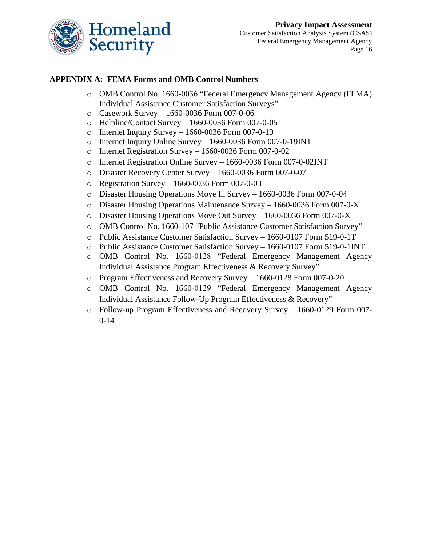

#### **APPENDIX A: FEMA Forms and OMB Control Numbers**

- o OMB Control No. 1660-0036 "Federal Emergency Management Agency (FEMA) Individual Assistance Customer Satisfaction Surveys"
- o Casework Survey 1660-0036 Form 007-0-06
- o Helpline/Contact Survey 1660-0036 Form 007-0-05
- o Internet Inquiry Survey 1660-0036 Form 007-0-19
- o Internet Inquiry Online Survey 1660-0036 Form 007-0-19INT
- o Internet Registration Survey 1660-0036 Form 007-0-02
- o Internet Registration Online Survey 1660-0036 Form 007-0-02INT
- o Disaster Recovery Center Survey 1660-0036 Form 007-0-07
- o Registration Survey 1660-0036 Form 007-0-03
- o Disaster Housing Operations Move In Survey 1660-0036 Form 007-0-04
- o Disaster Housing Operations Maintenance Survey 1660-0036 Form 007-0-X
- o Disaster Housing Operations Move Out Survey 1660-0036 Form 007-0-X
- o OMB Control No. 1660-107 "Public Assistance Customer Satisfaction Survey"
- o Public Assistance Customer Satisfaction Survey 1660-0107 Form 519-0-1T
- o Public Assistance Customer Satisfaction Survey 1660-0107 Form 519-0-1INT
- o OMB Control No. 1660-0128 "Federal Emergency Management Agency Individual Assistance Program Effectiveness & Recovery Survey"
- o Program Effectiveness and Recovery Survey 1660-0128 Form 007-0-20
- o OMB Control No. 1660-0129 "Federal Emergency Management Agency Individual Assistance Follow-Up Program Effectiveness & Recovery"
- o Follow-up Program Effectiveness and Recovery Survey 1660-0129 Form 007- 0-14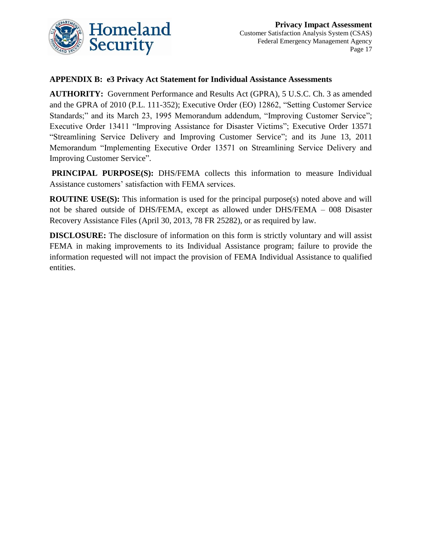

#### **APPENDIX B: e3 Privacy Act Statement for Individual Assistance Assessments**

**AUTHORITY:** Government Performance and Results Act (GPRA), 5 U.S.C. Ch. 3 as amended and the GPRA of 2010 (P.L. 111-352); Executive Order (EO) 12862, "Setting Customer Service Standards;" and its March 23, 1995 Memorandum addendum, "Improving Customer Service"; Executive Order 13411 "Improving Assistance for Disaster Victims"; Executive Order 13571 "Streamlining Service Delivery and Improving Customer Service"; and its June 13, 2011 Memorandum "Implementing Executive Order 13571 on Streamlining Service Delivery and Improving Customer Service".

**PRINCIPAL PURPOSE(S):** DHS/FEMA collects this information to measure Individual Assistance customers' satisfaction with FEMA services.

**ROUTINE USE(S):** This information is used for the principal purpose(s) noted above and will not be shared outside of DHS/FEMA, except as allowed under DHS/FEMA – 008 Disaster Recovery Assistance Files (April 30, 2013, 78 FR 25282), or as required by law.

**DISCLOSURE:** The disclosure of information on this form is strictly voluntary and will assist FEMA in making improvements to its Individual Assistance program; failure to provide the information requested will not impact the provision of FEMA Individual Assistance to qualified entities.